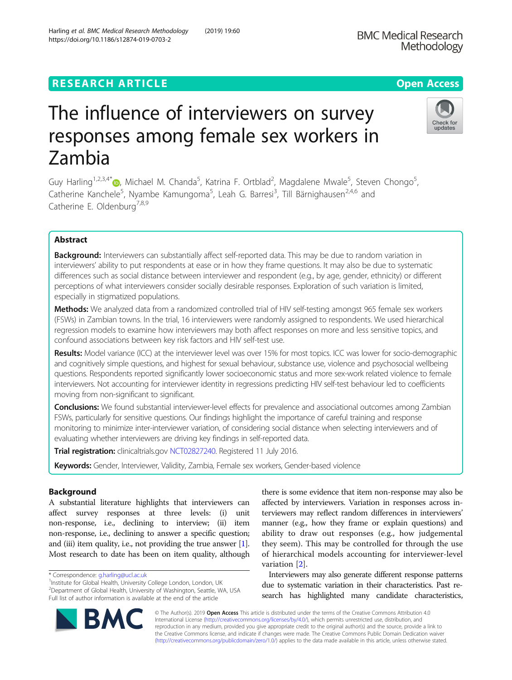# **RESEARCH ARTICLE Example 2014 12:30 The Contract of Contract ACCESS**

# The influence of interviewers on survey responses among female sex workers in Zambia

Guy Harling<sup>1[,](http://orcid.org/0000-0001-6604-491X)2,3,4\*</sup>®, Michael M. Chanda<sup>5</sup>, Katrina F. Ortblad<sup>2</sup>, Magdalene Mwale<sup>5</sup>, Steven Chongo<sup>5</sup> , Catherine Kanchele<sup>5</sup>, Nyambe Kamungoma<sup>5</sup>, Leah G. Barresi<sup>3</sup>, Till Bärnighausen<sup>2,4,6</sup> and Catherine E. Oldenburg<sup>7,8,9</sup>

# Abstract

**Background:** Interviewers can substantially affect self-reported data. This may be due to random variation in interviewers' ability to put respondents at ease or in how they frame questions. It may also be due to systematic differences such as social distance between interviewer and respondent (e.g., by age, gender, ethnicity) or different perceptions of what interviewers consider socially desirable responses. Exploration of such variation is limited, especially in stigmatized populations.

Methods: We analyzed data from a randomized controlled trial of HIV self-testing amongst 965 female sex workers (FSWs) in Zambian towns. In the trial, 16 interviewers were randomly assigned to respondents. We used hierarchical regression models to examine how interviewers may both affect responses on more and less sensitive topics, and confound associations between key risk factors and HIV self-test use.

Results: Model variance (ICC) at the interviewer level was over 15% for most topics. ICC was lower for socio-demographic and cognitively simple questions, and highest for sexual behaviour, substance use, violence and psychosocial wellbeing questions. Respondents reported significantly lower socioeconomic status and more sex-work related violence to female interviewers. Not accounting for interviewer identity in regressions predicting HIV self-test behaviour led to coefficients moving from non-significant to significant.

Conclusions: We found substantial interviewer-level effects for prevalence and associational outcomes among Zambian FSWs, particularly for sensitive questions. Our findings highlight the importance of careful training and response monitoring to minimize inter-interviewer variation, of considering social distance when selecting interviewers and of evaluating whether interviewers are driving key findings in self-reported data.

**Trial registration:** clinicaltrials.gov [NCT02827240.](https://clinicaltrials.gov/ct2/show/NCT02827240) Registered 11 July 2016.

Keywords: Gender, Interviewer, Validity, Zambia, Female sex workers, Gender-based violence

# Background

A substantial literature highlights that interviewers can affect survey responses at three levels: (i) unit non-response, i.e., declining to interview; (ii) item non-response, i.e., declining to answer a specific question; and (iii) item quality, i.e., not providing the true answer [[1](#page-10-0)]. Most research to date has been on item quality, although

\* Correspondence: [g.harling@ucl.ac.uk](mailto:g.harling@ucl.ac.uk) <sup>1</sup>

© The Author(s). 2019 Open Access This article is distributed under the terms of the Creative Commons Attribution 4.0 International License [\(http://creativecommons.org/licenses/by/4.0/](http://creativecommons.org/licenses/by/4.0/)), which permits unrestricted use, distribution, and reproduction in any medium, provided you give appropriate credit to the original author(s) and the source, provide a link to the Creative Commons license, and indicate if changes were made. The Creative Commons Public Domain Dedication waiver [\(http://creativecommons.org/publicdomain/zero/1.0/](http://creativecommons.org/publicdomain/zero/1.0/)) applies to the data made available in this article, unless otherwise stated.

affected by interviewers. Variation in responses across interviewers may reflect random differences in interviewers' manner (e.g., how they frame or explain questions) and ability to draw out responses (e.g., how judgemental they seem). This may be controlled for through the use of hierarchical models accounting for interviewer-level variation [[2\]](#page-10-0).

Interviewers may also generate different response patterns due to systematic variation in their characteristics. Past research has highlighted many candidate characteristics,

there is some evidence that item non-response may also be

**BMC Medical Research** 





Methodology



<sup>&</sup>lt;sup>1</sup> Institute for Global Health, University College London, London, UK <sup>2</sup>Department of Global Health, University of Washington, Seattle, WA, USA Full list of author information is available at the end of the article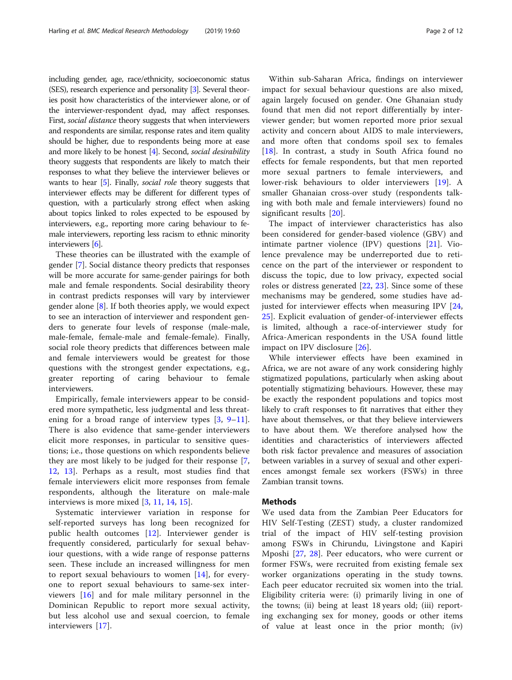including gender, age, race/ethnicity, socioeconomic status (SES), research experience and personality [\[3](#page-10-0)]. Several theories posit how characteristics of the interviewer alone, or of the interviewer-respondent dyad, may affect responses. First, social distance theory suggests that when interviewers and respondents are similar, response rates and item quality should be higher, due to respondents being more at ease and more likely to be honest [\[4](#page-10-0)]. Second, social desirability theory suggests that respondents are likely to match their responses to what they believe the interviewer believes or wants to hear [[5](#page-10-0)]. Finally, *social role* theory suggests that interviewer effects may be different for different types of question, with a particularly strong effect when asking about topics linked to roles expected to be espoused by interviewers, e.g., reporting more caring behaviour to female interviewers, reporting less racism to ethnic minority interviewers [[6](#page-10-0)].

These theories can be illustrated with the example of gender [[7\]](#page-10-0). Social distance theory predicts that responses will be more accurate for same-gender pairings for both male and female respondents. Social desirability theory in contrast predicts responses will vary by interviewer gender alone [\[8](#page-10-0)]. If both theories apply, we would expect to see an interaction of interviewer and respondent genders to generate four levels of response (male-male, male-female, female-male and female-female). Finally, social role theory predicts that differences between male and female interviewers would be greatest for those questions with the strongest gender expectations, e.g., greater reporting of caring behaviour to female interviewers.

Empirically, female interviewers appear to be considered more sympathetic, less judgmental and less threatening for a broad range of interview types [\[3](#page-10-0), [9](#page-10-0)–[11](#page-11-0)]. There is also evidence that same-gender interviewers elicit more responses, in particular to sensitive questions; i.e., those questions on which respondents believe they are most likely to be judged for their response [\[7](#page-10-0), [12,](#page-11-0) [13\]](#page-11-0). Perhaps as a result, most studies find that female interviewers elicit more responses from female respondents, although the literature on male-male interviews is more mixed [[3](#page-10-0), [11](#page-11-0), [14](#page-11-0), [15\]](#page-11-0).

Systematic interviewer variation in response for self-reported surveys has long been recognized for public health outcomes [[12](#page-11-0)]. Interviewer gender is frequently considered, particularly for sexual behaviour questions, with a wide range of response patterns seen. These include an increased willingness for men to report sexual behaviours to women  $[14]$  $[14]$ , for everyone to report sexual behaviours to same-sex interviewers [\[16](#page-11-0)] and for male military personnel in the Dominican Republic to report more sexual activity, but less alcohol use and sexual coercion, to female interviewers [[17\]](#page-11-0).

Within sub-Saharan Africa, findings on interviewer impact for sexual behaviour questions are also mixed, again largely focused on gender. One Ghanaian study found that men did not report differentially by interviewer gender; but women reported more prior sexual activity and concern about AIDS to male interviewers, and more often that condoms spoil sex to females [[18\]](#page-11-0). In contrast, a study in South Africa found no effects for female respondents, but that men reported more sexual partners to female interviewers, and lower-risk behaviours to older interviewers [\[19](#page-11-0)]. A smaller Ghanaian cross-over study (respondents talking with both male and female interviewers) found no significant results [[20](#page-11-0)].

The impact of interviewer characteristics has also been considered for gender-based violence (GBV) and intimate partner violence (IPV) questions [[21\]](#page-11-0). Violence prevalence may be underreported due to reticence on the part of the interviewer or respondent to discuss the topic, due to low privacy, expected social roles or distress generated [\[22](#page-11-0), [23\]](#page-11-0). Since some of these mechanisms may be gendered, some studies have ad-justed for interviewer effects when measuring IPV [\[24](#page-11-0), [25\]](#page-11-0). Explicit evaluation of gender-of-interviewer effects is limited, although a race-of-interviewer study for Africa-American respondents in the USA found little impact on IPV disclosure [[26\]](#page-11-0).

While interviewer effects have been examined in Africa, we are not aware of any work considering highly stigmatized populations, particularly when asking about potentially stigmatizing behaviours. However, these may be exactly the respondent populations and topics most likely to craft responses to fit narratives that either they have about themselves, or that they believe interviewers to have about them. We therefore analysed how the identities and characteristics of interviewers affected both risk factor prevalence and measures of association between variables in a survey of sexual and other experiences amongst female sex workers (FSWs) in three Zambian transit towns.

# **Methods**

We used data from the Zambian Peer Educators for HIV Self-Testing (ZEST) study, a cluster randomized trial of the impact of HIV self-testing provision among FSWs in Chirundu, Livingstone and Kapiri Mposhi [[27,](#page-11-0) [28](#page-11-0)]. Peer educators, who were current or former FSWs, were recruited from existing female sex worker organizations operating in the study towns. Each peer educator recruited six women into the trial. Eligibility criteria were: (i) primarily living in one of the towns; (ii) being at least 18 years old; (iii) reporting exchanging sex for money, goods or other items of value at least once in the prior month; (iv)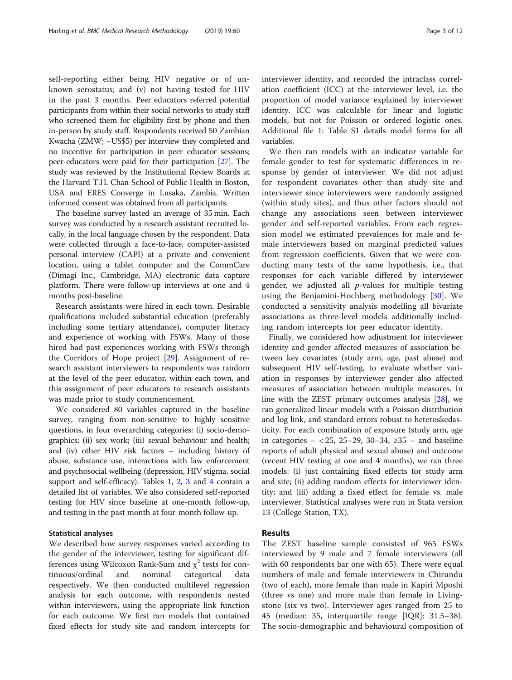self-reporting either being HIV negative or of unknown serostatus; and (v) not having tested for HIV in the past 3 months. Peer educators referred potential participants from within their social networks to study staff who screened them for eligibility first by phone and then in-person by study staff. Respondents received 50 Zambian Kwacha (ZMW; ~US\$5) per interview they completed and no incentive for participation in peer educator sessions; peer-educators were paid for their participation [\[27\]](#page-11-0). The study was reviewed by the Institutional Review Boards at the Harvard T.H. Chan School of Public Health in Boston, USA and ERES Converge in Lusaka, Zambia. Written informed consent was obtained from all participants.

The baseline survey lasted an average of 35 min. Each survey was conducted by a research assistant recruited locally, in the local language chosen by the respondent. Data were collected through a face-to-face, computer-assisted personal interview (CAPI) at a private and convenient location, using a tablet computer and the CommCare (Dimagi Inc., Cambridge, MA) electronic data capture platform. There were follow-up interviews at one and 4 months post-baseline.

Research assistants were hired in each town. Desirable qualifications included substantial education (preferably including some tertiary attendance), computer literacy and experience of working with FSWs. Many of those hired had past experiences working with FSWs through the Corridors of Hope project [[29\]](#page-11-0). Assignment of research assistant interviewers to respondents was random at the level of the peer educator, within each town, and this assignment of peer educators to research assistants was made prior to study commencement.

We considered 80 variables captured in the baseline survey, ranging from non-sensitive to highly sensitive questions, in four overarching categories: (i) socio-demographics; (ii) sex work; (iii) sexual behaviour and health; and (iv) other HIV risk factors – including history of abuse, substance use, interactions with law enforcement and psychosocial wellbeing (depression, HIV stigma, social support and self-efficacy). Tables [1,](#page-3-0) [2](#page-4-0), [3](#page-6-0) and [4](#page-7-0) contain a detailed list of variables. We also considered self-reported testing for HIV since baseline at one-month follow-up, and testing in the past month at four-month follow-up.

## Statistical analyses

We described how survey responses varied according to the gender of the interviewer, testing for significant differences using Wilcoxon Rank-Sum and  $\chi^2$  tests for continuous/ordinal and nominal categorical data respectively. We then conducted multilevel regression analysis for each outcome, with respondents nested within interviewers, using the appropriate link function for each outcome. We first ran models that contained fixed effects for study site and random intercepts for interviewer identity, and recorded the intraclass correlation coefficient (ICC) at the interviewer level, i.e. the proportion of model variance explained by interviewer identity. ICC was calculable for linear and logistic models, but not for Poisson or ordered logistic ones. Additional file [1:](#page-10-0) Table S1 details model forms for all variables.

We then ran models with an indicator variable for female gender to test for systematic differences in response by gender of interviewer. We did not adjust for respondent covariates other than study site and interviewer since interviewers were randomly assigned (within study sites), and thus other factors should not change any associations seen between interviewer gender and self-reported variables. From each regression model we estimated prevalences for male and female interviewers based on marginal predicted values from regression coefficients. Given that we were conducting many tests of the same hypothesis, i.e., that responses for each variable differed by interviewer gender, we adjusted all  $p$ -values for multiple testing using the Benjamini-Hochberg methodology [[30\]](#page-11-0). We conducted a sensitivity analysis modelling all bivariate associations as three-level models additionally including random intercepts for peer educator identity.

Finally, we considered how adjustment for interviewer identity and gender affected measures of association between key covariates (study arm, age, past abuse) and subsequent HIV self-testing, to evaluate whether variation in responses by interviewer gender also affected measures of association between multiple measures. In line with the ZEST primary outcomes analysis [\[28\]](#page-11-0), we ran generalized linear models with a Poisson distribution and log link, and standard errors robust to heteroskedasticity. For each combination of exposure (study arm, age in categories – < 25, 25–29, 30–34,  $\geq$ 35 – and baseline reports of adult physical and sexual abuse) and outcome (recent HIV testing at one and 4 months), we ran three models: (i) just containing fixed effects for study arm and site; (ii) adding random effects for interviewer identity; and (iii) adding a fixed effect for female vs. male interviewer. Statistical analyses were run in Stata version 13 (College Station, TX).

# Results

The ZEST baseline sample consisted of 965 FSWs interviewed by 9 male and 7 female interviewers (all with 60 respondents bar one with 65). There were equal numbers of male and female interviewers in Chirundu (two of each), more female than male in Kapiri Mposhi (three vs one) and more male than female in Livingstone (six vs two). Interviewer ages ranged from 25 to 45 (median: 35, interquartile range [IQR]: 31.5–38). The socio-demographic and behavioural composition of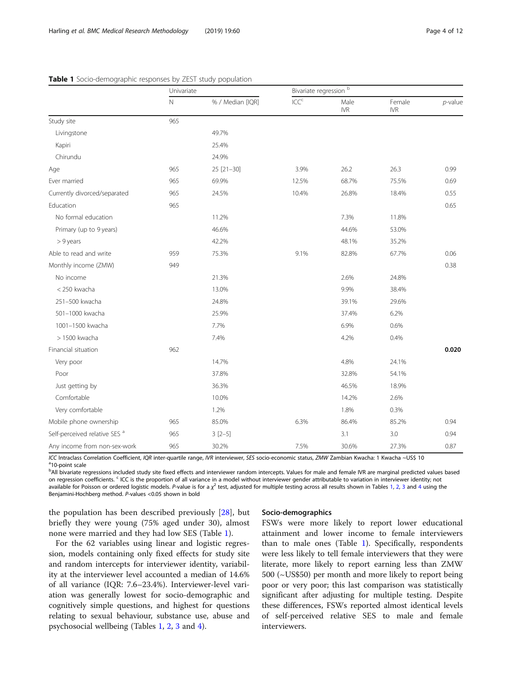|                                          | Univariate  |                  |                  | Bivariate regression b |                      |            |  |  |
|------------------------------------------|-------------|------------------|------------------|------------------------|----------------------|------------|--|--|
|                                          | $\mathbb N$ | % / Median [IQR] | ICC <sup>c</sup> | Male<br><b>IVR</b>     | Female<br><b>IVR</b> | $p$ -value |  |  |
| Study site                               | 965         |                  |                  |                        |                      |            |  |  |
| Livingstone                              |             | 49.7%            |                  |                        |                      |            |  |  |
| Kapiri                                   |             | 25.4%            |                  |                        |                      |            |  |  |
| Chirundu                                 |             | 24.9%            |                  |                        |                      |            |  |  |
| Age                                      | 965         | 25 [21-30]       | 3.9%             | 26.2                   | 26.3                 | 0.99       |  |  |
| Ever married                             | 965         | 69.9%            | 12.5%            | 68.7%                  | 75.5%                | 0.69       |  |  |
| Currently divorced/separated             | 965         | 24.5%            | 10.4%            | 26.8%                  | 18.4%                | 0.55       |  |  |
| Education                                | 965         |                  |                  |                        |                      | 0.65       |  |  |
| No formal education                      |             | 11.2%            |                  | 7.3%                   | 11.8%                |            |  |  |
| Primary (up to 9 years)                  |             | 46.6%            |                  | 44.6%                  | 53.0%                |            |  |  |
| $> 9$ years                              |             | 42.2%            |                  | 48.1%                  | 35.2%                |            |  |  |
| Able to read and write                   | 959         | 75.3%            | 9.1%             | 82.8%                  | 67.7%                | 0.06       |  |  |
| Monthly income (ZMW)                     | 949         |                  |                  |                        |                      | 0.38       |  |  |
| No income                                |             | 21.3%            |                  | 2.6%                   | 24.8%                |            |  |  |
| < 250 kwacha                             |             | 13.0%            |                  | 9.9%                   | 38.4%                |            |  |  |
| 251-500 kwacha                           |             | 24.8%            |                  | 39.1%                  | 29.6%                |            |  |  |
| 501-1000 kwacha                          |             | 25.9%            |                  | 37.4%                  | 6.2%                 |            |  |  |
| 1001-1500 kwacha                         |             | 7.7%             |                  | 6.9%                   | 0.6%                 |            |  |  |
| > 1500 kwacha                            |             | 7.4%             |                  | 4.2%                   | 0.4%                 |            |  |  |
| Financial situation                      | 962         |                  |                  |                        |                      | 0.020      |  |  |
| Very poor                                |             | 14.7%            |                  | 4.8%                   | 24.1%                |            |  |  |
| Poor                                     |             | 37.8%            |                  | 32.8%                  | 54.1%                |            |  |  |
| Just getting by                          |             | 36.3%            |                  | 46.5%                  | 18.9%                |            |  |  |
| Comfortable                              |             | 10.0%            |                  | 14.2%                  | 2.6%                 |            |  |  |
| Very comfortable                         |             | 1.2%             |                  | 1.8%                   | 0.3%                 |            |  |  |
| Mobile phone ownership                   | 965         | 85.0%            | 6.3%             | 86.4%                  | 85.2%                | 0.94       |  |  |
| Self-perceived relative SES <sup>a</sup> | 965         | $3[2-5]$         |                  | 3.1                    | 3.0                  | 0.94       |  |  |
| Any income from non-sex-work             | 965         | 30.2%            | 7.5%             | 30.6%                  | 27.3%                | 0.87       |  |  |

#### <span id="page-3-0"></span>Table 1 Socio-demographic responses by ZEST study population

ICC Intraclass Correlation Coefficient, IQR inter-quartile range, IVR interviewer, SES socio-economic status, ZMW Zambian Kwacha: 1 Kwacha ~US\$ 10 <sup>a</sup> <sup>a</sup>10-point scale

bAll bivariate regressions included study site fixed effects and interviewer random intercepts. Values for male and female IVR are marginal predicted values based on regression coefficients. <sup>c</sup> ICC is the proportion of all variance in a model without interviewer gender attributable to variation in interviewer identity; not available for Poisson or ordered logistic models. P-value is for a  $\chi^2$  $\chi^2$  test, adjusted for multiple testing across all results shown in Tables 1, 2, [3](#page-6-0) and [4](#page-7-0) using the Benjamini-Hochberg method. P-values <0.05 shown in bold

the population has been described previously [\[28](#page-11-0)], but briefly they were young (75% aged under 30), almost none were married and they had low SES (Table 1).

For the 62 variables using linear and logistic regression, models containing only fixed effects for study site and random intercepts for interviewer identity, variability at the interviewer level accounted a median of 14.6% of all variance (IQR: 7.6–23.4%). Interviewer-level variation was generally lowest for socio-demographic and cognitively simple questions, and highest for questions relating to sexual behaviour, substance use, abuse and psychosocial wellbeing (Tables 1, [2](#page-4-0), [3](#page-6-0) and [4\)](#page-7-0).

#### Socio-demographics

FSWs were more likely to report lower educational attainment and lower income to female interviewers than to male ones (Table 1). Specifically, respondents were less likely to tell female interviewers that they were literate, more likely to report earning less than ZMW 500 (~US\$50) per month and more likely to report being poor or very poor; this last comparison was statistically significant after adjusting for multiple testing. Despite these differences, FSWs reported almost identical levels of self-perceived relative SES to male and female interviewers.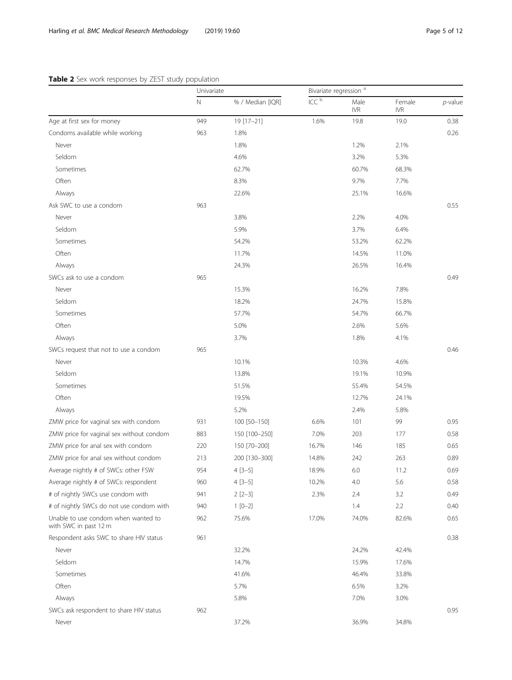# <span id="page-4-0"></span>Table 2 Sex work responses by ZEST study population

|                                                              | Univariate |                  |                  | Bivariate regression <sup>a</sup> |                      |            |  |
|--------------------------------------------------------------|------------|------------------|------------------|-----------------------------------|----------------------|------------|--|
|                                                              | Ν          | % / Median [IQR] | ICC <sup>b</sup> | Male<br><b>IVR</b>                | Female<br><b>IVR</b> | $p$ -value |  |
| Age at first sex for money                                   | 949        | 19 [17-21]       | 1.6%             | 19.8                              | 19.0                 | 0.38       |  |
| Condoms available while working                              | 963        | 1.8%             |                  |                                   |                      | 0.26       |  |
| Never                                                        |            | 1.8%             |                  | 1.2%                              | 2.1%                 |            |  |
| Seldom                                                       |            | 4.6%             |                  | 3.2%                              | 5.3%                 |            |  |
| Sometimes                                                    |            | 62.7%            |                  | 60.7%                             | 68.3%                |            |  |
| Often                                                        |            | 8.3%             |                  | 9.7%                              | 7.7%                 |            |  |
| Always                                                       |            | 22.6%            |                  | 25.1%                             | 16.6%                |            |  |
| Ask SWC to use a condom                                      | 963        |                  |                  |                                   |                      | 0.55       |  |
| Never                                                        |            | 3.8%             |                  | 2.2%                              | 4.0%                 |            |  |
| Seldom                                                       |            | 5.9%             |                  | 3.7%                              | 6.4%                 |            |  |
| Sometimes                                                    |            | 54.2%            |                  | 53.2%                             | 62.2%                |            |  |
| Often                                                        |            | 11.7%            |                  | 14.5%                             | 11.0%                |            |  |
| Always                                                       |            | 24.3%            |                  | 26.5%                             | 16.4%                |            |  |
| SWCs ask to use a condom                                     | 965        |                  |                  |                                   |                      | 0.49       |  |
| Never                                                        |            | 15.3%            |                  | 16.2%                             | 7.8%                 |            |  |
| Seldom                                                       |            | 18.2%            |                  | 24.7%                             | 15.8%                |            |  |
| Sometimes                                                    |            | 57.7%            |                  | 54.7%                             | 66.7%                |            |  |
| Often                                                        |            | 5.0%             |                  | 2.6%                              | 5.6%                 |            |  |
| Always                                                       |            | 3.7%             |                  | 1.8%                              | 4.1%                 |            |  |
| SWCs request that not to use a condom                        | 965        |                  |                  |                                   |                      | 0.46       |  |
| Never                                                        |            | 10.1%            |                  | 10.3%                             | 4.6%                 |            |  |
| Seldom                                                       |            | 13.8%            |                  | 19.1%                             | 10.9%                |            |  |
| Sometimes                                                    |            | 51.5%            |                  | 55.4%                             | 54.5%                |            |  |
| Often                                                        |            | 19.5%            |                  | 12.7%                             | 24.1%                |            |  |
| Always                                                       |            | 5.2%             |                  | 2.4%                              | 5.8%                 |            |  |
| ZMW price for vaginal sex with condom                        | 931        | 100 [50-150]     | 6.6%             | 101                               | 99                   | 0.95       |  |
| ZMW price for vaginal sex without condom                     | 883        | 150 [100-250]    | 7.0%             | 203                               | 177                  | 0.58       |  |
| ZMW price for anal sex with condom                           | 220        | 150 [70-200]     | 16.7%            | 146                               | 185                  | 0.65       |  |
| ZMW price for anal sex without condom                        | 213        | 200 [130-300]    | 14.8%            | 242                               | 263                  | 0.89       |  |
| Average nightly # of SWCs: other FSW                         | 954        | $4[3-5]$         | 18.9%            | 6.0                               | 11.2                 | 0.69       |  |
| Average nightly # of SWCs: respondent                        | 960        | $4[3-5]$         | 10.2%            | 4.0                               | 5.6                  | 0.58       |  |
| # of nightly SWCs use condom with                            | 941        | $2 [2-3]$        | 2.3%             | 2.4                               | 3.2                  | 0.49       |  |
| # of nightly SWCs do not use condom with                     | 940        | $1 [0-2]$        |                  | 1.4                               | 2.2                  | 0.40       |  |
| Unable to use condom when wanted to<br>with SWC in past 12 m | 962        | 75.6%            | 17.0%            | 74.0%                             | 82.6%                | 0.65       |  |
| Respondent asks SWC to share HIV status                      | 961        |                  |                  |                                   |                      | 0.38       |  |
| Never                                                        |            | 32.2%            |                  | 24.2%                             | 42.4%                |            |  |
| Seldom                                                       |            | 14.7%            |                  | 15.9%                             | 17.6%                |            |  |
| Sometimes                                                    |            | 41.6%            |                  | 46.4%                             | 33.8%                |            |  |
| Often                                                        |            | 5.7%             |                  | 6.5%                              | 3.2%                 |            |  |
| Always                                                       |            | 5.8%             |                  | 7.0%                              | 3.0%                 |            |  |
| SWCs ask respondent to share HIV status                      | 962        |                  |                  |                                   |                      | 0.95       |  |
| Never                                                        |            | 37.2%            |                  | 36.9%                             | 34.8%                |            |  |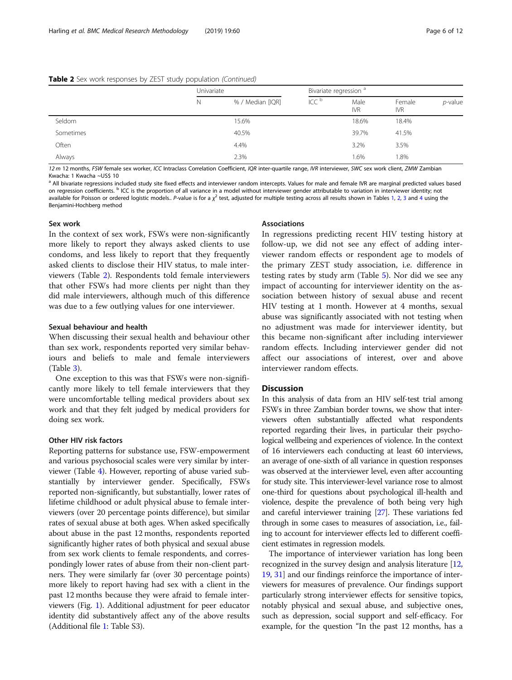#### Table 2 Sex work responses by ZEST study population (Continued)

|           | Univariate | Bivariate regression <sup>a</sup> |                  |             |               |            |  |  |
|-----------|------------|-----------------------------------|------------------|-------------|---------------|------------|--|--|
|           | N.         | % / Median [IQR]                  | ICC <sup>b</sup> | Male<br>IVR | Female<br>IVR | $p$ -value |  |  |
| Seldom    |            | 15.6%                             |                  | 18.6%       | 18.4%         |            |  |  |
| Sometimes |            | 40.5%                             |                  | 39.7%       | 41.5%         |            |  |  |
| Often     |            | 4.4%                              |                  | 3.2%        | 3.5%          |            |  |  |
| Always    |            | 2.3%                              |                  | 1.6%        | 1.8%          |            |  |  |

12 m 12 months, FSW female sex worker, ICC Intraclass Correlation Coefficient, IQR inter-quartile range, IVR interviewer, SWC sex work client, ZMW Zambian Kwacha: 1 Kwacha ~US\$ 10

<sup>a</sup> All bivariate regressions included study site fixed effects and interviewer random intercepts. Values for male and female IVR are marginal predicted values based on regression coefficients. <sup>b</sup> ICC is the proportion of all variance in a model without interviewer gender attributable to variation in interviewer identity; not available for Poisson or ordered logistic models.. P-value is for a  $\chi^2$  test, adjusted for multiple testing across all results shown in Tables [1,](#page-3-0) [2,](#page-4-0) [3](#page-6-0) and [4](#page-7-0) using the Benjamini-Hochberg method

#### Sex work

In the context of sex work, FSWs were non-significantly more likely to report they always asked clients to use condoms, and less likely to report that they frequently asked clients to disclose their HIV status, to male interviewers (Table [2\)](#page-4-0). Respondents told female interviewers that other FSWs had more clients per night than they did male interviewers, although much of this difference was due to a few outlying values for one interviewer.

#### Sexual behaviour and health

When discussing their sexual health and behaviour other than sex work, respondents reported very similar behaviours and beliefs to male and female interviewers (Table [3\)](#page-6-0).

One exception to this was that FSWs were non-significantly more likely to tell female interviewers that they were uncomfortable telling medical providers about sex work and that they felt judged by medical providers for doing sex work.

## Other HIV risk factors

Reporting patterns for substance use, FSW-empowerment and various psychosocial scales were very similar by interviewer (Table [4\)](#page-7-0). However, reporting of abuse varied substantially by interviewer gender. Specifically, FSWs reported non-significantly, but substantially, lower rates of lifetime childhood or adult physical abuse to female interviewers (over 20 percentage points difference), but similar rates of sexual abuse at both ages. When asked specifically about abuse in the past 12 months, respondents reported significantly higher rates of both physical and sexual abuse from sex work clients to female respondents, and correspondingly lower rates of abuse from their non-client partners. They were similarly far (over 30 percentage points) more likely to report having had sex with a client in the past 12 months because they were afraid to female interviewers (Fig. [1\)](#page-8-0). Additional adjustment for peer educator identity did substantively affect any of the above results (Additional file [1](#page-10-0): Table S3).

#### Associations

In regressions predicting recent HIV testing history at follow-up, we did not see any effect of adding interviewer random effects or respondent age to models of the primary ZEST study association, i.e. difference in testing rates by study arm (Table [5](#page-8-0)). Nor did we see any impact of accounting for interviewer identity on the association between history of sexual abuse and recent HIV testing at 1 month. However at 4 months, sexual abuse was significantly associated with not testing when no adjustment was made for interviewer identity, but this became non-significant after including interviewer random effects. Including interviewer gender did not affect our associations of interest, over and above interviewer random effects.

# Discussion

In this analysis of data from an HIV self-test trial among FSWs in three Zambian border towns, we show that interviewers often substantially affected what respondents reported regarding their lives, in particular their psychological wellbeing and experiences of violence. In the context of 16 interviewers each conducting at least 60 interviews, an average of one-sixth of all variance in question responses was observed at the interviewer level, even after accounting for study site. This interviewer-level variance rose to almost one-third for questions about psychological ill-health and violence, despite the prevalence of both being very high and careful interviewer training [[27](#page-11-0)]. These variations fed through in some cases to measures of association, i.e., failing to account for interviewer effects led to different coefficient estimates in regression models.

The importance of interviewer variation has long been recognized in the survey design and analysis literature [[12](#page-11-0), [19](#page-11-0), [31\]](#page-11-0) and our findings reinforce the importance of interviewers for measures of prevalence. Our findings support particularly strong interviewer effects for sensitive topics, notably physical and sexual abuse, and subjective ones, such as depression, social support and self-efficacy. For example, for the question "In the past 12 months, has a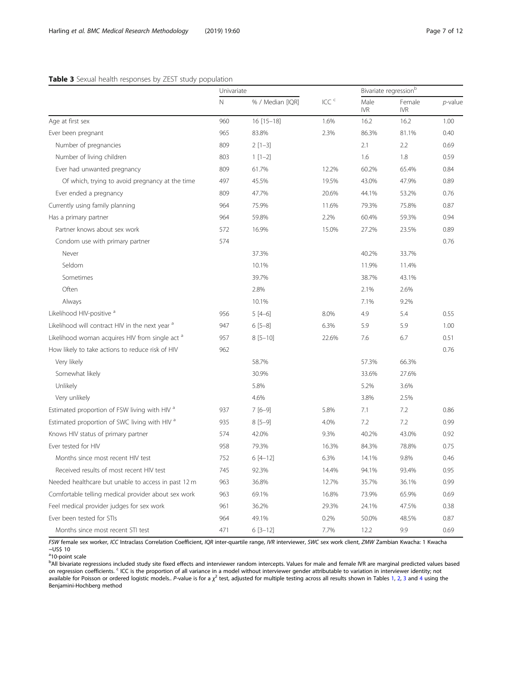# <span id="page-6-0"></span>Table 3 Sexual health responses by ZEST study population

|                                                            | Univariate  |                  |                    | Bivariate regression <sup>b</sup> |                      |            |
|------------------------------------------------------------|-------------|------------------|--------------------|-----------------------------------|----------------------|------------|
|                                                            | $\mathbb N$ | % / Median [IQR] | $ICC$ <sup>c</sup> | Male<br><b>IVR</b>                | Female<br><b>IVR</b> | $p$ -value |
| Age at first sex                                           | 960         | $16$ [15-18]     | 1.6%               | 16.2                              | 16.2                 | 1.00       |
| Ever been pregnant                                         | 965         | 83.8%            | 2.3%               | 86.3%                             | 81.1%                | 0.40       |
| Number of pregnancies                                      | 809         | $2[1-3]$         |                    | 2.1                               | 2.2                  | 0.69       |
| Number of living children                                  | 803         | $1[1-2]$         |                    | 1.6                               | 1.8                  | 0.59       |
| Ever had unwanted pregnancy                                | 809         | 61.7%            | 12.2%              | 60.2%                             | 65.4%                | 0.84       |
| Of which, trying to avoid pregnancy at the time            | 497         | 45.5%            | 19.5%              | 43.0%                             | 47.9%                | 0.89       |
| Ever ended a pregnancy                                     | 809         | 47.7%            | 20.6%              | 44.1%                             | 53.2%                | 0.76       |
| Currently using family planning                            | 964         | 75.9%            | 11.6%              | 79.3%                             | 75.8%                | 0.87       |
| Has a primary partner                                      | 964         | 59.8%            | 2.2%               | 60.4%                             | 59.3%                | 0.94       |
| Partner knows about sex work                               | 572         | 16.9%            | 15.0%              | 27.2%                             | 23.5%                | 0.89       |
| Condom use with primary partner                            | 574         |                  |                    |                                   |                      | 0.76       |
| Never                                                      |             | 37.3%            |                    | 40.2%                             | 33.7%                |            |
| Seldom                                                     |             | 10.1%            |                    | 11.9%                             | 11.4%                |            |
| Sometimes                                                  |             | 39.7%            |                    | 38.7%                             | 43.1%                |            |
| Often                                                      |             | 2.8%             |                    | 2.1%                              | 2.6%                 |            |
| Always                                                     |             | 10.1%            |                    | 7.1%                              | 9.2%                 |            |
| Likelihood HIV-positive <sup>a</sup>                       | 956         | $5[4-6]$         | 8.0%               | 4.9                               | 5.4                  | 0.55       |
| Likelihood will contract HIV in the next year <sup>a</sup> | 947         | $6[5-8]$         | 6.3%               | 5.9                               | 5.9                  | 1.00       |
| Likelihood woman acquires HIV from single act <sup>a</sup> | 957         | $8[5 - 10]$      | 22.6%              | 7.6                               | 6.7                  | 0.51       |
| How likely to take actions to reduce risk of HIV           | 962         |                  |                    |                                   |                      | 0.76       |
| Very likely                                                |             | 58.7%            |                    | 57.3%                             | 66.3%                |            |
| Somewhat likely                                            |             | 30.9%            |                    | 33.6%                             | 27.6%                |            |
| Unlikely                                                   |             | 5.8%             |                    | 5.2%                              | 3.6%                 |            |
| Very unlikely                                              |             | 4.6%             |                    | 3.8%                              | 2.5%                 |            |
| Estimated proportion of FSW living with HIV <sup>a</sup>   | 937         | $7[6-9]$         | 5.8%               | 7.1                               | 7.2                  | 0.86       |
| Estimated proportion of SWC living with HIV a              | 935         | $8[5-9]$         | 4.0%               | 7.2                               | 7.2                  | 0.99       |
| Knows HIV status of primary partner                        | 574         | 42.0%            | 9.3%               | 40.2%                             | 43.0%                | 0.92       |
| Ever tested for HIV                                        | 958         | 79.3%            | 16.3%              | 84.3%                             | 78.8%                | 0.75       |
| Months since most recent HIV test                          | 752         | $6[4-12]$        | 6.3%               | 14.1%                             | 9.8%                 | 0.46       |
| Received results of most recent HIV test                   | 745         | 92.3%            | 14.4%              | 94.1%                             | 93.4%                | 0.95       |
| Needed healthcare but unable to access in past 12 m        | 963         | 36.8%            | 12.7%              | 35.7%                             | 36.1%                | 0.99       |
| Comfortable telling medical provider about sex work        | 963         | 69.1%            | 16.8%              | 73.9%                             | 65.9%                | 0.69       |
| Feel medical provider judges for sex work                  | 961         | 36.2%            | 29.3%              | 24.1%                             | 47.5%                | 0.38       |
| Ever been tested for STIs                                  | 964         | 49.1%            | 0.2%               | 50.0%                             | 48.5%                | 0.87       |
| Months since most recent STI test                          | 471         | $6[3-12]$        | 7.7%               | 12.2                              | 9.9                  | 0.69       |

FSW female sex worker, ICC Intraclass Correlation Coefficient, IQR inter-quartile range, IVR interviewer, SWC sex work client, ZMW Zambian Kwacha: 1 Kwacha  $~v$ US\$ 10

<sup>a</sup>10-point scale<br><sup>b</sup>All bivariate regressions included study site fixed effects and interviewer random intercepts. Values for male and female IVR are marginal predicted values based on regression coefficients. <sup>c</sup> ICC is the proportion of all variance in a model without interviewer gender attributable to variation in interviewer identity; not available for Poisson or ordered logistic models.. P-value is for a  $\chi^2$  test, adjusted for multiple testing across all results shown in Tables [1,](#page-3-0) [2,](#page-4-0) 3 and [4](#page-7-0) using the Benjamini-Hochberg method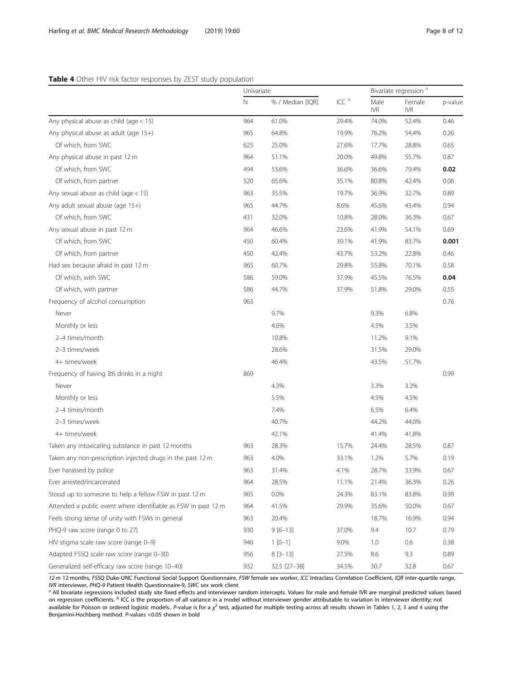# <span id="page-7-0"></span>Table 4 Other HIV risk factor responses by ZEST study population

|                                                                | Univariate |                  |                  | Bivariate regression <sup>a</sup> |                      |         |
|----------------------------------------------------------------|------------|------------------|------------------|-----------------------------------|----------------------|---------|
|                                                                | Ν          | % / Median [IQR] | ICC <sub>p</sub> | Male<br><b>IVR</b>                | Female<br><b>IVR</b> | p-value |
| Any physical abuse as child (age $<$ 15)                       | 964        | 61.0%            | 29.4%            | 74.0%                             | 52.4%                | 0.46    |
| Any physical abuse as adult (age 15+)                          | 965        | 64.8%            | 19.9%            | 76.2%                             | 54.4%                | 0.26    |
| Of which, from SWC                                             | 625        | 25.0%            | 27.6%            | 17.7%                             | 28.8%                | 0.65    |
| Any physical abuse in past 12 m                                | 964        | 51.1%            | 20.0%            | 49.8%                             | 55.7%                | 0.87    |
| Of which, from SWC                                             | 494        | 53.6%            | 36.6%            | 36.6%                             | 79.4%                | 0.02    |
| Of which, from partner                                         | 520        | 65.6%            | 35.1%            | 80.8%                             | 42.4%                | 0.06    |
| Any sexual abuse as child (age $<$ 15)                         | 963        | 35.5%            | 19.7%            | 36.9%                             | 32.7%                | 0.89    |
| Any adult sexual abuse (age 15+)                               | 965        | 44.7%            | 8.6%             | 45.6%                             | 43.4%                | 0.94    |
| Of which, from SWC                                             | 431        | 32.0%            | 10.8%            | 28.0%                             | 36.3%                | 0.67    |
| Any sexual abuse in past 12 m                                  | 964        | 46.6%            | 23.6%            | 41.9%                             | 54.1%                | 0.69    |
| Of which, from SWC                                             | 450        | 60.4%            | 39.1%            | 41.9%                             | 83.7%                | 0.001   |
| Of which, from partner                                         | 450        | 42.4%            | 43.7%            | 53.2%                             | 22.8%                | 0.46    |
| Had sex because afraid in past 12 m                            | 965        | 60.7%            | 29.8%            | 55.8%                             | 70.1%                | 0.58    |
| Of which, with SWC                                             | 586        | 59.0%            | 37.9%            | 45.5%                             | 76.5%                | 0.04    |
| Of which, with partner                                         | 586        | 44.7%            | 37.9%            | 51.8%                             | 29.0%                | 0.55    |
| Frequency of alcohol consumption                               | 963        |                  |                  |                                   |                      | 0.76    |
| Never                                                          |            | 9.7%             |                  | 9.3%                              | 6.8%                 |         |
| Monthly or less                                                |            | 4.6%             |                  | 4.5%                              | 3.5%                 |         |
| 2-4 times/month                                                |            | 10.8%            |                  | 11.2%                             | 9.1%                 |         |
| 2-3 times/week                                                 |            | 28.6%            |                  | 31.5%                             | 29.0%                |         |
| 4+ times/week                                                  |            | 46.4%            |                  | 43.5%                             | 51.7%                |         |
| Frequency of having $\geq$ 6 drinks in a night                 | 869        |                  |                  |                                   |                      | 0.99    |
| Never                                                          |            | 4.3%             |                  | 3.3%                              | 3.2%                 |         |
| Monthly or less                                                |            | 5.5%             |                  | 4.5%                              | 4.5%                 |         |
| 2-4 times/month                                                |            | 7.4%             |                  | 6.5%                              | 6.4%                 |         |
| 2-3 times/week                                                 |            | 40.7%            |                  | 44.2%                             | 44.0%                |         |
| 4+ times/week                                                  |            | 42.1%            |                  | 41.4%                             | 41.8%                |         |
| Taken any intoxicating substance in past 12 months             | 963        | 28.3%            | 15.7%            | 24.4%                             | 28.5%                | 0.87    |
| Taken any non-prescription injected drugs in the past 12 m     | 963        | 4.0%             | 33.1%            | 1.2%                              | 5.7%                 | 0.19    |
| Ever harassed by police                                        | 963        | 31.4%            | 4.1%             | 28.7%                             | 33.9%                | 0.67    |
| Ever arrested/incarcerated                                     | 964        | 28.5%            | 11.1%            | 21.4%                             | 36.3%                | 0.26    |
| Stood up to someone to help a fellow FSW in past 12 m          | 965        | $0.0\%$          | 24.3%            | 83.1%                             | 83.8%                | 0.99    |
| Attended a public event where identifiable as FSW in past 12 m | 964        | 41.5%            | 29.9%            | 35.6%                             | 50.0%                | 0.67    |
| Feels strong sense of unity with FSWs in general               | 963        | 20.4%            |                  | 18.7%                             | 16.9%                | 0.94    |
| PHQ-9 raw score (range 0 to 27)                                | 930        | $9[6-13]$        | 37.0%            | 9.4                               | 10.7                 | 0.79    |
| HIV stigma scale raw score (range 0-9)                         | 946        | $1[0-1]$         | 9.0%             | 1.0                               | 0.6                  | 0.38    |
| Adapted FSSQ scale raw score (range 0-30)                      | 956        | $8[3-13]$        | 27.5%            | 8.6                               | 9.3                  | 0.89    |
| Generalized self-efficacy raw score (range 10-40)              | 932        | 32.5 [27-38]     | 34.5%            | 30.7                              | 32.8                 | 0.67    |

12 m 12 months, FSSQ Duke-UNC Functional Social Support Questionnaire, FSW female sex worker, ICC Intraclass Correlation Coefficient, IQR inter-quartile range, IVR inter-quartile range, IVR interviewer, PHQ-9 Patient Healt IVR interviewer, PHQ-9 Patient Health Questionnaire-9, SWC sex work client<br><sup>a</sup> All bivariate regressions included study site fixed effects and interviewer random intercepts. Values for male and female IVR are marginal pred

on regression coefficients. <sup>b</sup> ICC is the proportion of all variance in a model without interviewer gender attributable to variation in interviewer identity; not available for Poisson or ordered logistic models.. P-value is for a  $\chi^2$  test, adjusted for multiple testing across all results shown in Tables [1,](#page-3-0) [2,](#page-4-0) [3](#page-6-0) and 4 using the Benjamini-Hochberg method. P-values <0.05 shown in bold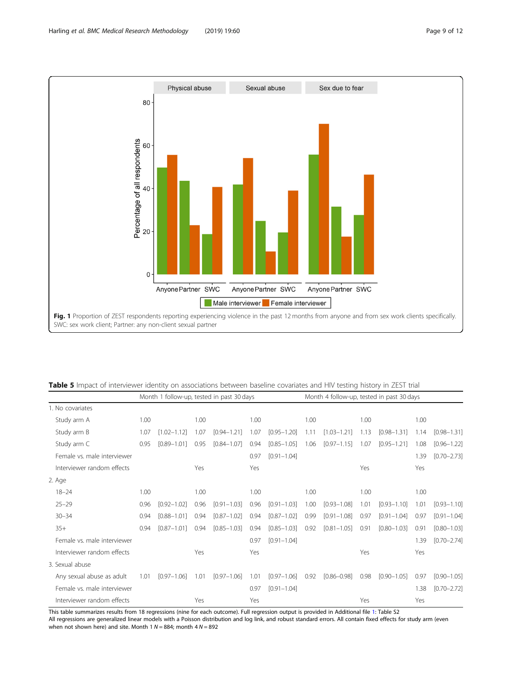<span id="page-8-0"></span>

# Table 5 Impact of interviewer identity on associations between baseline covariates and HIV testing history in ZEST trial

|                             | Month 1 follow-up, tested in past 30 days |                 |      |                 |      |                 |      |                 | Month 4 follow-up, tested in past 30 days |                 |      |                 |
|-----------------------------|-------------------------------------------|-----------------|------|-----------------|------|-----------------|------|-----------------|-------------------------------------------|-----------------|------|-----------------|
| 1. No covariates            |                                           |                 |      |                 |      |                 |      |                 |                                           |                 |      |                 |
| Study arm A                 | 1.00                                      |                 | 1.00 |                 | 1.00 |                 | 1.00 |                 | 1.00                                      |                 | 1.00 |                 |
| Study arm B                 | 1.07                                      | $[1.02 - 1.12]$ | 1.07 | $[0.94 - 1.21]$ | 1.07 | $[0.95 - 1.20]$ | 1.11 | $[1.03 - 1.21]$ | 1.13                                      | $[0.98 - 1.31]$ | 1.14 | $[0.98 - 1.31]$ |
| Study arm C                 | 0.95                                      | $[0.89 - 1.01]$ | 0.95 | $[0.84 - 1.07]$ | 0.94 | $[0.85 - 1.05]$ | 1.06 | $[0.97 - 1.15]$ | 1.07                                      | $[0.95 - 1.21]$ | 1.08 | $[0.96 - 1.22]$ |
| Female vs. male interviewer |                                           |                 |      |                 | 0.97 | $[0.91 - 1.04]$ |      |                 |                                           |                 | 1.39 | $[0.70 - 2.73]$ |
| Interviewer random effects  |                                           |                 | Yes  |                 | Yes  |                 |      |                 | Yes                                       |                 | Yes  |                 |
| 2. Age                      |                                           |                 |      |                 |      |                 |      |                 |                                           |                 |      |                 |
| $18 - 24$                   | 1.00                                      |                 | 1.00 |                 | 1.00 |                 | 1.00 |                 | 1.00                                      |                 | 1.00 |                 |
| $25 - 29$                   | 0.96                                      | $[0.92 - 1.02]$ | 0.96 | $[0.91 - 1.03]$ | 0.96 | $[0.91 - 1.03]$ | 1.00 | $[0.93 - 1.08]$ | 1.01                                      | $[0.93 - 1.10]$ | 1.01 | $[0.93 - 1.10]$ |
| $30 - 34$                   | 0.94                                      | $[0.88 - 1.01]$ | 0.94 | $[0.87 - 1.02]$ | 0.94 | $[0.87 - 1.02]$ | 0.99 | $[0.91 - 1.08]$ | 0.97                                      | $[0.91 - 1.04]$ | 0.97 | $[0.91 - 1.04]$ |
| $35+$                       | 0.94                                      | $[0.87 - 1.01]$ | 0.94 | $[0.85 - 1.03]$ | 0.94 | $[0.85 - 1.03]$ | 0.92 | $[0.81 - 1.05]$ | 0.91                                      | $[0.80 - 1.03]$ | 0.91 | $[0.80 - 1.03]$ |
| Female vs. male interviewer |                                           |                 |      |                 | 0.97 | $[0.91 - 1.04]$ |      |                 |                                           |                 | 1.39 | $[0.70 - 2.74]$ |
| Interviewer random effects  |                                           |                 | Yes  |                 | Yes  |                 |      |                 | Yes                                       |                 | Yes  |                 |
| 3. Sexual abuse             |                                           |                 |      |                 |      |                 |      |                 |                                           |                 |      |                 |
| Any sexual abuse as adult   | 1.01                                      | $[0.97 - 1.06]$ | 1.01 | $[0.97 - 1.06]$ | 1.01 | $[0.97 - 1.06]$ | 0.92 | $[0.86 - 0.98]$ | 0.98                                      | $[0.90 - 1.05]$ | 0.97 | $[0.90 - 1.05]$ |
| Female vs. male interviewer |                                           |                 |      |                 | 0.97 | $[0.91 - 1.04]$ |      |                 |                                           |                 | 1.38 | $[0.70 - 2.72]$ |
| Interviewer random effects  |                                           |                 | Yes  |                 | Yes  |                 |      |                 | Yes                                       |                 | Yes  |                 |

This table summarizes results from 18 regressions (nine for each outcome). Full regression output is provided in Additional file [1](#page-10-0): Table S2 All regressions are generalized linear models with a Poisson distribution and log link, and robust standard errors. All contain fixed effects for study arm (even when not shown here) and site. Month  $1 N = 884$ ; month  $4 N = 892$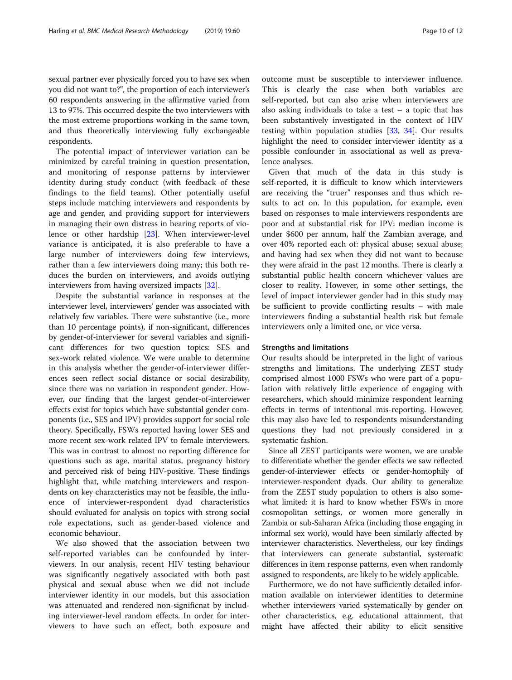sexual partner ever physically forced you to have sex when you did not want to?", the proportion of each interviewer's 60 respondents answering in the affirmative varied from 13 to 97%. This occurred despite the two interviewers with the most extreme proportions working in the same town, and thus theoretically interviewing fully exchangeable respondents.

The potential impact of interviewer variation can be minimized by careful training in question presentation, and monitoring of response patterns by interviewer identity during study conduct (with feedback of these findings to the field teams). Other potentially useful steps include matching interviewers and respondents by age and gender, and providing support for interviewers in managing their own distress in hearing reports of violence or other hardship [[23\]](#page-11-0). When interviewer-level variance is anticipated, it is also preferable to have a large number of interviewers doing few interviews, rather than a few interviewers doing many; this both reduces the burden on interviewers, and avoids outlying interviewers from having oversized impacts [[32](#page-11-0)].

Despite the substantial variance in responses at the interviewer level, interviewers' gender was associated with relatively few variables. There were substantive (i.e., more than 10 percentage points), if non-significant, differences by gender-of-interviewer for several variables and significant differences for two question topics: SES and sex-work related violence. We were unable to determine in this analysis whether the gender-of-interviewer differences seen reflect social distance or social desirability, since there was no variation in respondent gender. However, our finding that the largest gender-of-interviewer effects exist for topics which have substantial gender components (i.e., SES and IPV) provides support for social role theory. Specifically, FSWs reported having lower SES and more recent sex-work related IPV to female interviewers. This was in contrast to almost no reporting difference for questions such as age, marital status, pregnancy history and perceived risk of being HIV-positive. These findings highlight that, while matching interviewers and respondents on key characteristics may not be feasible, the influence of interviewer-respondent dyad characteristics should evaluated for analysis on topics with strong social role expectations, such as gender-based violence and economic behaviour.

We also showed that the association between two self-reported variables can be confounded by interviewers. In our analysis, recent HIV testing behaviour was significantly negatively associated with both past physical and sexual abuse when we did not include interviewer identity in our models, but this association was attenuated and rendered non-significnat by including interviewer-level random effects. In order for interviewers to have such an effect, both exposure and

outcome must be susceptible to interviewer influence. This is clearly the case when both variables are self-reported, but can also arise when interviewers are also asking individuals to take a test – a topic that has been substantively investigated in the context of HIV testing within population studies [\[33,](#page-11-0) [34\]](#page-11-0). Our results highlight the need to consider interviewer identity as a possible confounder in associational as well as prevalence analyses.

Given that much of the data in this study is self-reported, it is difficult to know which interviewers are receiving the "truer" responses and thus which results to act on. In this population, for example, even based on responses to male interviewers respondents are poor and at substantial risk for IPV: median income is under \$600 per annum, half the Zambian average, and over 40% reported each of: physical abuse; sexual abuse; and having had sex when they did not want to because they were afraid in the past 12 months. There is clearly a substantial public health concern whichever values are closer to reality. However, in some other settings, the level of impact interviewer gender had in this study may be sufficient to provide conflicting results – with male interviewers finding a substantial health risk but female interviewers only a limited one, or vice versa.

#### Strengths and limitations

Our results should be interpreted in the light of various strengths and limitations. The underlying ZEST study comprised almost 1000 FSWs who were part of a population with relatively little experience of engaging with researchers, which should minimize respondent learning effects in terms of intentional mis-reporting. However, this may also have led to respondents misunderstanding questions they had not previously considered in a systematic fashion.

Since all ZEST participants were women, we are unable to differentiate whether the gender effects we saw reflected gender-of-interviewer effects or gender-homophily of interviewer-respondent dyads. Our ability to generalize from the ZEST study population to others is also somewhat limited: it is hard to know whether FSWs in more cosmopolitan settings, or women more generally in Zambia or sub-Saharan Africa (including those engaging in informal sex work), would have been similarly affected by interviewer characteristics. Nevertheless, our key findings that interviewers can generate substantial, systematic differences in item response patterns, even when randomly assigned to respondents, are likely to be widely applicable.

Furthermore, we do not have sufficiently detailed information available on interviewer identities to determine whether interviewers varied systematically by gender on other characteristics, e.g. educational attainment, that might have affected their ability to elicit sensitive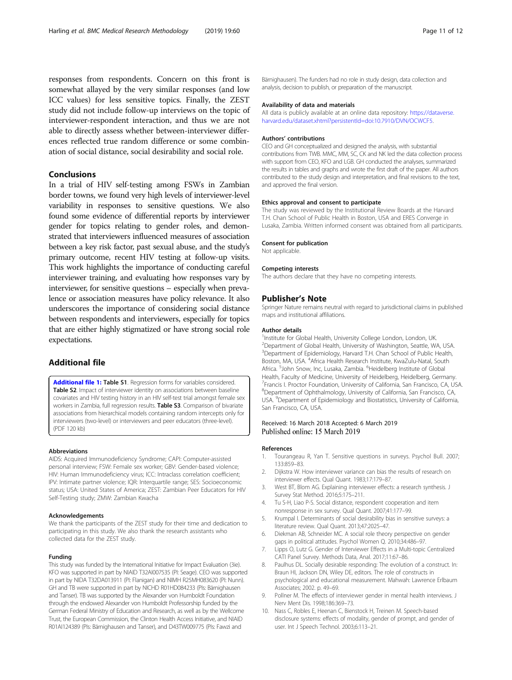<span id="page-10-0"></span>responses from respondents. Concern on this front is somewhat allayed by the very similar responses (and low ICC values) for less sensitive topics. Finally, the ZEST study did not include follow-up interviews on the topic of interviewer-respondent interaction, and thus we are not able to directly assess whether between-interviewer differences reflected true random difference or some combination of social distance, social desirability and social role.

## Conclusions

In a trial of HIV self-testing among FSWs in Zambian border towns, we found very high levels of interviewer-level variability in responses to sensitive questions. We also found some evidence of differential reports by interviewer gender for topics relating to gender roles, and demonstrated that interviewers influenced measures of association between a key risk factor, past sexual abuse, and the study's primary outcome, recent HIV testing at follow-up visits. This work highlights the importance of conducting careful interviewer training, and evaluating how responses vary by interviewer, for sensitive questions – especially when prevalence or association measures have policy relevance. It also underscores the importance of considering social distance between respondents and interviewers, especially for topics that are either highly stigmatized or have strong social role expectations.

# Additional file

[Additional file 1:](https://doi.org/10.1186/s12874-019-0703-2) Table S1. Regression forms for variables considered. Table S2. Impact of interviewer identity on associations between baseline covariates and HIV testing history in an HIV self-test trial amongst female sex workers in Zambia, full regression results. Table S3. Comparison of bivariate associations from hierarchical models containing random intercepts only for interviewers (two-level) or interviewers and peer educators (three-level). (PDF 120 kb)

#### Abbreviations

AIDS: Acquired Immunodeficiency Syndrome; CAPI: Computer-assisted personal interview; FSW: Female sex worker; GBV: Gender-based violence; HIV: Human Immunodeficiency virus; ICC: Intraclass correlation coefficient; IPV: Intimate partner violence; IQR: Interquartile range; SES: Socioeconomic status; USA: United States of America; ZEST: Zambian Peer Educators for HIV Self-Testing study; ZMW: Zambian Kwacha

#### Acknowledgements

We thank the participants of the ZEST study for their time and dedication to participating in this study. We also thank the research assistants who collected data for the ZEST study.

#### Funding

This study was funded by the International Initiative for Impact Evaluation (3ie). KFO was supported in part by NIAID T32AI007535 (PI: Seage). CEO was supported in part by NIDA T32DA013911 (PI: Flanigan) and NIMH R25MH083620 (PI: Nunn). GH and TB were supported in part by NICHD R01HD084233 (PIs: Bärnighausen and Tanser). TB was supported by the Alexander von Humboldt Foundation through the endowed Alexander von Humboldt Professorship funded by the German Federal Ministry of Education and Research, as well as by the Wellcome Trust, the European Commission, the Clinton Health Access Initiative, and NIAID R01AI124389 (PIs: Bärnighausen and Tanser), and D43TW009775 (PIs: Fawzi and

Bärnighausen). The funders had no role in study design, data collection and analysis, decision to publish, or preparation of the manuscript.

#### Availability of data and materials

All data is publicly available at an online data repository: [https://dataverse.](https://dataverse.harvard.edu/dataset.xhtml?persistentId=doi:10.7910/DVN/OCWCF5) [harvard.edu/dataset.xhtml?persistentId=doi:10.7910/DVN/OCWCF5](https://dataverse.harvard.edu/dataset.xhtml?persistentId=doi:10.7910/DVN/OCWCF5).

#### Authors' contributions

CEO and GH conceptualized and designed the analysis, with substantial contributions from TWB. MMC, MM, SC, CK and NK led the data collection process with support from CEO, KFO and LGB. GH conducted the analyses, summarized the results in tables and graphs and wrote the first draft of the paper. All authors contributed to the study design and interpretation, and final revisions to the text, and approved the final version.

#### Ethics approval and consent to participate

The study was reviewed by the Institutional Review Boards at the Harvard T.H. Chan School of Public Health in Boston, USA and ERES Converge in Lusaka, Zambia. Written informed consent was obtained from all participants.

#### Consent for publication

Not applicable.

#### Competing interests

The authors declare that they have no competing interests.

#### Publisher's Note

Springer Nature remains neutral with regard to jurisdictional claims in published maps and institutional affiliations.

#### Author details

<sup>1</sup>Institute for Global Health, University College London, London, UK <sup>2</sup>Department of Global Health, University of Washington, Seattle, WA, USA <sup>3</sup>Department of Epidemiology, Harvard T.H. Chan School of Public Health Boston, MA, USA. <sup>4</sup>Africa Health Research Institute, KwaZulu-Natal, South Africa. <sup>5</sup>John Snow, Inc, Lusaka, Zambia. <sup>6</sup>Heidelberg Institute of Global Health, Faculty of Medicine, University of Heidelberg, Heidelberg, Germany. <sup>7</sup> Francis I. Proctor Foundation, University of California, San Francisco, CA, USA 8 Department of Ophthalmology, University of California, San Francisco, CA, USA. <sup>9</sup>Department of Epidemiology and Biostatistics, University of California San Francisco, CA, USA.

# Received: 16 March 2018 Accepted: 6 March 2019

#### References

- 1. Tourangeau R, Yan T. Sensitive questions in surveys. Psychol Bull. 2007; 133:859–83.
- 2. Dijkstra W. How interviewer variance can bias the results of research on interviewer effects. Qual Quant. 1983;17:179–87.
- 3. West BT, Blom AG. Explaining interviewer effects: a research synthesis. J Survey Stat Method. 2016;5:175–211.
- 4. Tu S-H, Liao P-S. Social distance, respondent cooperation and item nonresponse in sex survey. Qual Quant. 2007;41:177–99.
- 5. Krumpal I. Determinants of social desirability bias in sensitive surveys: a literature review. Qual Quant. 2013;47:2025–47.
- 6. Diekman AB, Schneider MC. A social role theory perspective on gender gaps in political attitudes. Psychol Women Q. 2010;34:486–97.
- 7. Lipps O, Lutz G. Gender of Interviewer Effects in a Multi-topic Centralized CATI Panel Survey. Methods Data, Anal. 2017;11:67–86.
- 8. Paulhus DL. Socially desirable responding: The evolution of a construct. In: Braun HI, Jackson DN, Wiley DE, editors. The role of constructs in psychological and educational measurement. Mahwah: Lawrence Erlbaum Associates; 2002. p. 49–69.
- 9. Pollner M. The effects of interviewer gender in mental health interviews. J Nerv Ment Dis. 1998;186:369–73.
- 10. Nass C, Robles E, Heenan C, Bienstock H, Treinen M. Speech-based disclosure systems: effects of modality, gender of prompt, and gender of user. Int J Speech Technol. 2003;6:113–21.